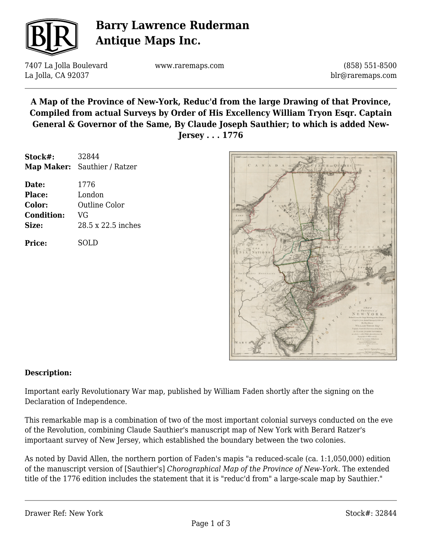

# **Barry Lawrence Ruderman Antique Maps Inc.**

7407 La Jolla Boulevard La Jolla, CA 92037

www.raremaps.com

(858) 551-8500 blr@raremaps.com

#### **A Map of the Province of New-York, Reduc'd from the large Drawing of that Province, Compiled from actual Surveys by Order of His Excellency William Tryon Esqr. Captain General & Governor of the Same, By Claude Joseph Sauthier; to which is added New-Jersey . . . 1776**

| Stock#:           | 32844                        |
|-------------------|------------------------------|
|                   | Map Maker: Sauthier / Ratzer |
| Date:             | 1776                         |
| Place:            | London                       |
| Color:            | Outline Color                |
| <b>Condition:</b> | VG                           |
| Size:             | 28.5 x 22.5 inches           |
| Price:            | SOL D                        |



#### **Description:**

Important early Revolutionary War map, published by William Faden shortly after the signing on the Declaration of Independence.

This remarkable map is a combination of two of the most important colonial surveys conducted on the eve of the Revolution, combining Claude Sauthier's manuscript map of New York with Berard Ratzer's importaant survey of New Jersey, which established the boundary between the two colonies.

As noted by David Allen, the northern portion of Faden's mapis "a reduced-scale (ca. 1:1,050,000) edition of the manuscript version of [Sauthier's] *Chorographical Map of the Province of New-York.* The extended title of the 1776 edition includes the statement that it is "reduc'd from" a large-scale map by Sauthier."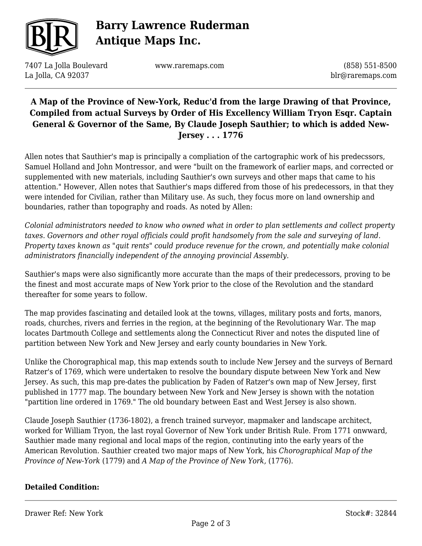

# **Barry Lawrence Ruderman Antique Maps Inc.**

7407 La Jolla Boulevard La Jolla, CA 92037

www.raremaps.com

(858) 551-8500 blr@raremaps.com

### **A Map of the Province of New-York, Reduc'd from the large Drawing of that Province, Compiled from actual Surveys by Order of His Excellency William Tryon Esqr. Captain General & Governor of the Same, By Claude Joseph Sauthier; to which is added New-Jersey . . . 1776**

Allen notes that Sauthier's map is principally a compliation of the cartographic work of his predecssors, Samuel Holland and John Montressor, and were "built on the framework of earlier maps, and corrected or supplemented with new materials, including Sauthier's own surveys and other maps that came to his attention." However, Allen notes that Sauthier's maps differed from those of his predecessors, in that they were intended for Civilian, rather than Military use. As such, they focus more on land ownership and boundaries, rather than topography and roads. As noted by Allen:

*Colonial administrators needed to know who owned what in order to plan settlements and collect property taxes. Governors and other royal officials could profit handsomely from the sale and surveying of land. Property taxes known as "quit rents" could produce revenue for the crown, and potentially make colonial administrators financially independent of the annoying provincial Assembly.*

Sauthier's maps were also significantly more accurate than the maps of their predecessors, proving to be the finest and most accurate maps of New York prior to the close of the Revolution and the standard thereafter for some years to follow.

The map provides fascinating and detailed look at the towns, villages, military posts and forts, manors, roads, churches, rivers and ferries in the region, at the beginning of the Revolutionary War. The map locates Dartmouth College and settlements along the Connecticut River and notes the disputed line of partition between New York and New Jersey and early county boundaries in New York.

Unlike the Chorographical map, this map extends south to include New Jersey and the surveys of Bernard Ratzer's of 1769, which were undertaken to resolve the boundary dispute between New York and New Jersey. As such, this map pre-dates the publication by Faden of Ratzer's own map of New Jersey, first published in 1777 map. The boundary between New York and New Jersey is shown with the notation "partition line ordered in 1769." The old boundary between East and West Jersey is also shown.

Claude Joseph Sauthier (1736-1802), a french trained surveyor, mapmaker and landscape architect, worked for William Tryon, the last royal Governor of New York under British Rule. From 1771 onwward, Sauthier made many regional and local maps of the region, continuting into the early years of the American Revolution. Sauthier created two major maps of New York, his *Chorographical Map of the Province of New-York* (1779) and *A Map of the Province of New York,* (1776).

#### **Detailed Condition:**